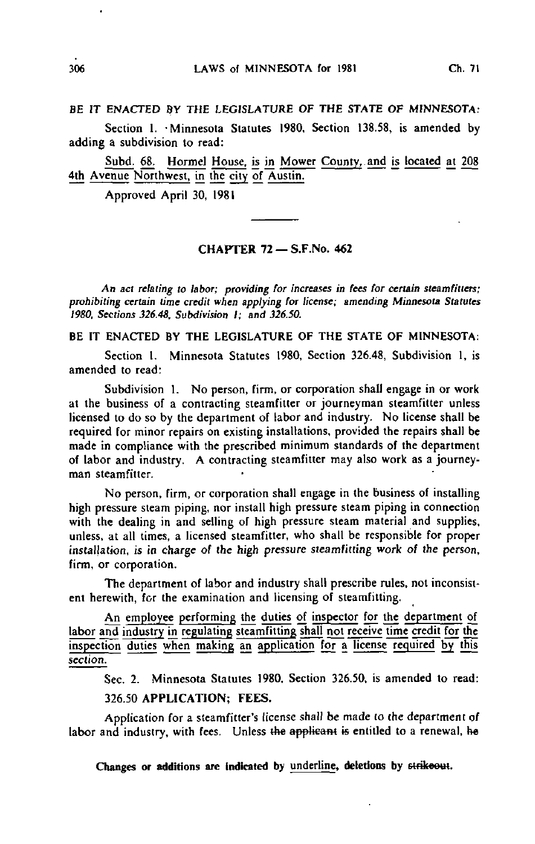## BE IT ENACTED BY THE LEGISLATURE OF THE STATE OF MINNESOTA:

Section 1. Minnesota Statutes 1980, Section 138.58, is amended by adding a subdivision to read:

Subd. 68. Hormel House, is in Mower County,.and is located at 208 4th Avenue Northwest, in the city of Austin.

Approved April 30, 1981

## CHAPTER 72 — S.F.No. 462

An act relating to labor; providing for increases in fees for certain steamfitters; prohibiting certain time credit when applying for license; amending Minnesota Statutes 1980. Sections 326.48, Subdivision I; and 326.50.

BE IT ENACTED BY THE LEGISLATURE OF THE STATE OF MINNESOTA:

Section 1. Minnesota Statutes 1980, Section 326.48, Subdivision 1, is amended to read:

Subdivision 1. No person, firm, or corporation shall engage in or work at the business of a contracting steamfitter or journeyman steamfitter unless licensed to do so by the department of labor and industry. No license shall be required for minor repairs on existing installations, provided the repairs shall be made in compliance with the prescribed minimum standards of the department of labor and industry. A contracting steamfitter may also work as a journeyman steamfitter.

No person, firm, or corporation shall engage in the business of installing high pressure steam piping, nor install high pressure steam piping in connection with the dealing in and selling of high pressure steam material and supplies, unless, at all times, a licensed steamfitter, who shall be responsible for proper installation, is in charge of the high pressure steamfitting work of the person, firm, or corporation.

The department of labor and industry shall prescribe rules, not inconsistent herewith, for the examination and licensing of steamfitting.

An employee performing the duties of inspector for the department of labor and industry in regulating steamfilting shall not receive time credit for the inspection duties when making an application for a license required by this section.

Sec. 2. Minnesota Statutes 1980, Section 326.50, is amended to read:

## 326.50 APPLICATION; FEES.

Application for a steamfitter's license shall be made to the department of labor and industry, with fees. Unless the applicant is entitled to a renewal, he

Changes or additions are indicated by underline, deletions by strikeout.